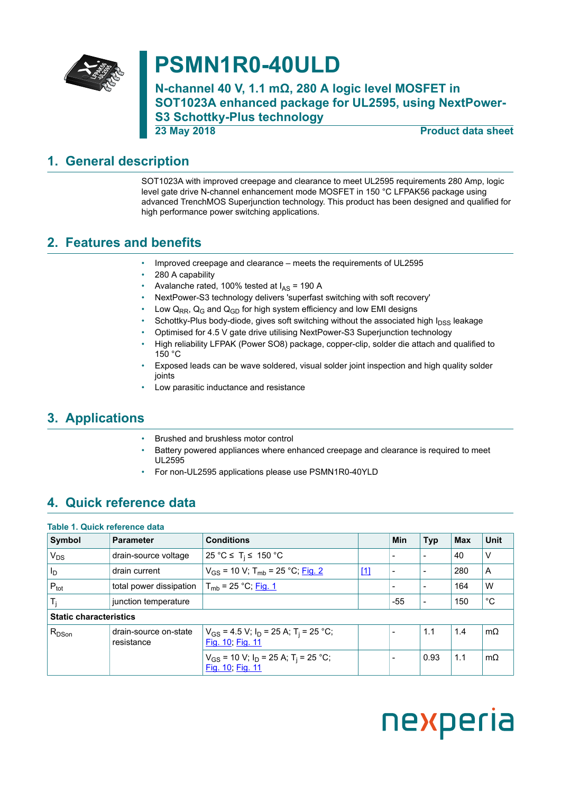

# **PSMN1R0-40ULD**

**N-channel 40 V, 1.1 mΩ, 280 A logic level MOSFET in SOT1023A enhanced package for UL2595, using NextPower-S3 Schottky-Plus technology**

**23 May 2018 Product data sheet**

# <span id="page-0-0"></span>**1. General description**

SOT1023A with improved creepage and clearance to meet UL2595 requirements 280 Amp, logic level gate drive N-channel enhancement mode MOSFET in 150 °C LFPAK56 package using advanced TrenchMOS Superjunction technology. This product has been designed and qualified for high performance power switching applications.

# <span id="page-0-1"></span>**2. Features and benefits**

- Improved creepage and clearance meets the requirements of UL2595
- 280 A capability
- Avalanche rated, 100% tested at  $I_{AS}$  = 190 A
- NextPower-S3 technology delivers 'superfast switching with soft recovery'
- Low  $Q_{RR}$ ,  $Q_G$  and  $Q_{GD}$  for high system efficiency and low EMI designs
- Schottky-Plus body-diode, gives soft switching without the associated high  $I_{DSS}$  leakage
- Optimised for 4.5 V gate drive utilising NextPower-S3 Superjunction technology
- High reliability LFPAK (Power SO8) package, copper-clip, solder die attach and qualified to 150 °C
- Exposed leads can be wave soldered, visual solder joint inspection and high quality solder joints
- Low parasitic inductance and resistance

# <span id="page-0-2"></span>**3. Applications**

- Brushed and brushless motor control
- Battery powered appliances where enhanced creepage and clearance is required to meet UL2595
- For non-UL2595 applications please use PSMN1R0-40YLD

# <span id="page-0-3"></span>**4. Quick reference data**

#### **Table 1. Quick reference data**

| <b>Symbol</b>                 | <b>Parameter</b>                    | <b>Conditions</b>                                                                   |       | Min   | <b>Typ</b>               | <b>Max</b> | <b>Unit</b> |
|-------------------------------|-------------------------------------|-------------------------------------------------------------------------------------|-------|-------|--------------------------|------------|-------------|
| <b>V<sub>DS</sub></b>         | drain-source voltage                | 25 °C ≤ T <sub>i</sub> ≤ 150 °C                                                     |       |       | $\overline{\phantom{a}}$ | 40         | V           |
| l <sub>D</sub>                | drain current                       | $V_{GS}$ = 10 V; T <sub>mb</sub> = 25 °C; Fig. 2                                    | $[1]$ |       |                          | 280        | A           |
| $P_{\text{tot}}$              | total power dissipation             | $T_{mb}$ = 25 °C; Fig. 1                                                            |       |       |                          | 164        | W           |
| $T_i$                         | junction temperature                |                                                                                     |       | $-55$ |                          | 150        | $^{\circ}C$ |
| <b>Static characteristics</b> |                                     |                                                                                     |       |       |                          |            |             |
| $R_{DSon}$                    | drain-source on-state<br>resistance | $V_{GS}$ = 4.5 V; $I_D$ = 25 A; T <sub>i</sub> = 25 °C;<br>Fig. 10; Fig. 11         |       |       | 1.1                      | 1.4        | $m\Omega$   |
|                               |                                     | $V_{GS}$ = 10 V; I <sub>D</sub> = 25 A; T <sub>i</sub> = 25 °C;<br>Fig. 10; Fig. 11 |       |       | 0.93                     | 1.1        | $m\Omega$   |

# nexperia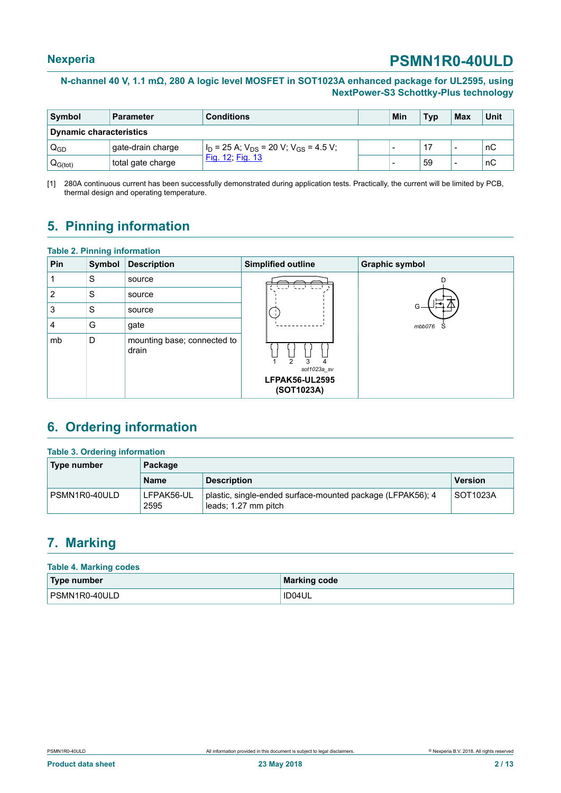<span id="page-1-0"></span>**N-channel 40 V, 1.1 mΩ, 280 A logic level MOSFET in SOT1023A enhanced package for UL2595, using NextPower-S3 Schottky-Plus technology**

| Symbol                                  | <b>Parameter</b>  | <b>Conditions</b>                                       |  | Min                      | <b>Typ</b> | <b>Max</b>               | Unit |
|-----------------------------------------|-------------------|---------------------------------------------------------|--|--------------------------|------------|--------------------------|------|
| <b>Dynamic characteristics</b>          |                   |                                                         |  |                          |            |                          |      |
| Q <sub>GD</sub>                         | gate-drain charge | $I_D$ = 25 A; $V_{DS}$ = 20 V; V <sub>GS</sub> = 4.5 V; |  | $\overline{\phantom{0}}$ |            | $\overline{\phantom{0}}$ | nС   |
| $\mathsf{Q}_{\mathsf{G}(\mathsf{tot})}$ | total gate charge | Fig. 12; Fig. 13                                        |  | $\overline{\phantom{0}}$ | 59         | -                        | пC   |

[1] 280A continuous current has been successfully demonstrated during application tests. Practically, the current will be limited by PCB, thermal design and operating temperature.

# <span id="page-1-1"></span>**5. Pinning information**

#### **Table 2. Pinning information Pin Symbol Description Simplified outline Graphic symbol**  $1$  S source 2 S source 3 S source 4  $\mid G \mid$  gate mb | D | mounting base; connected to drain 1 2 3 4 *sot1023a\_sv* **LFPAK56-UL2595 (SOT1023A)** S D G *mbb076*

# <span id="page-1-2"></span>**6. Ordering information**

# **Table 3. Ordering information**

| Type number   | Package            |                                                                                    |                |  |  |  |  |  |
|---------------|--------------------|------------------------------------------------------------------------------------|----------------|--|--|--|--|--|
|               | <b>Name</b>        | <b>Description</b>                                                                 | <b>Version</b> |  |  |  |  |  |
| PSMN1R0-40ULD | LFPAK56-UL<br>2595 | plastic, single-ended surface-mounted package (LFPAK56); 4<br>leads: 1.27 mm pitch | SOT1023A       |  |  |  |  |  |

# <span id="page-1-3"></span>**7. Marking**

| <b>Table 4. Marking codes</b> |              |  |  |  |
|-------------------------------|--------------|--|--|--|
| Type number                   | Marking code |  |  |  |
| PSMN1R0-40ULD                 | ID04UL       |  |  |  |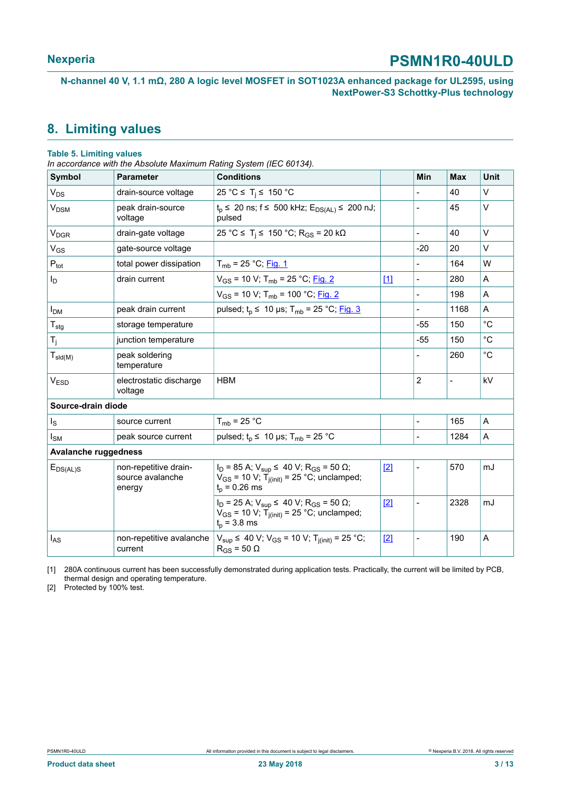# <span id="page-2-1"></span><span id="page-2-0"></span>**8. Limiting values**

#### **Table 5. Limiting values**

*In accordance with the Absolute Maximum Rating System (IEC 60134).*

| <b>Symbol</b>               | <b>Parameter</b>                                    | <b>Conditions</b>                                                                                                                                      |       | Min                      | <b>Max</b>     | Unit         |
|-----------------------------|-----------------------------------------------------|--------------------------------------------------------------------------------------------------------------------------------------------------------|-------|--------------------------|----------------|--------------|
| $V_{DS}$                    | drain-source voltage                                | 25 °C ≤ T <sub>i</sub> ≤ 150 °C                                                                                                                        |       |                          | 40             | V            |
| <b>V<sub>DSM</sub></b>      | peak drain-source<br>voltage                        | $t_p$ ≤ 20 ns; f ≤ 500 kHz; $E_{DS(AL)}$ ≤ 200 nJ;<br>pulsed                                                                                           |       |                          | 45             | V            |
| <b>V<sub>DGR</sub></b>      | drain-gate voltage                                  | 25 °C ≤ T <sub>i</sub> ≤ 150 °C; R <sub>GS</sub> = 20 kΩ                                                                                               |       | $\overline{\phantom{a}}$ | 40             | V            |
| $V_{GS}$                    | gate-source voltage                                 |                                                                                                                                                        |       | $-20$                    | 20             | $\vee$       |
| $P_{\text{tot}}$            | total power dissipation                             | $T_{mb}$ = 25 °C; Fig. 1                                                                                                                               |       |                          | 164            | W            |
| I <sub>D</sub>              | drain current                                       | $V_{GS}$ = 10 V; T <sub>mb</sub> = 25 °C; Fig. 2                                                                                                       | $[1]$ |                          | 280            | A            |
|                             |                                                     | $V_{GS}$ = 10 V; T <sub>mb</sub> = 100 °C; Fig. 2                                                                                                      |       |                          | 198            | Α            |
| <b>I<sub>DM</sub></b>       | peak drain current                                  | pulsed; $t_p$ ≤ 10 µs; T <sub>mb</sub> = 25 °C; Fig. 3                                                                                                 |       |                          | 1168           | A            |
| $T_{\text{stg}}$            | storage temperature                                 |                                                                                                                                                        |       | $-55$                    | 150            | $^{\circ}$ C |
| $\mathsf{T}_\mathrm{j}$     | junction temperature                                |                                                                                                                                                        |       | $-55$                    | 150            | $^{\circ}C$  |
| $T_{\text{sld(M)}}$         | peak soldering<br>temperature                       |                                                                                                                                                        |       |                          | 260            | $^{\circ}C$  |
| V <sub>ESD</sub>            | electrostatic discharge<br>voltage                  | <b>HBM</b>                                                                                                                                             |       | $\overline{2}$           | $\overline{a}$ | kV           |
| Source-drain diode          |                                                     |                                                                                                                                                        |       |                          |                |              |
| $I_S$                       | source current                                      | $T_{mb}$ = 25 °C                                                                                                                                       |       |                          | 165            | A            |
| $I_{SM}$                    | peak source current                                 | pulsed; $t_0 \leq 10$ µs; $T_{mb} = 25$ °C                                                                                                             |       |                          | 1284           | A            |
| <b>Avalanche ruggedness</b> |                                                     |                                                                                                                                                        |       |                          |                |              |
| $E_{DS(AL)S}$               | non-repetitive drain-<br>source avalanche<br>energy | $I_D$ = 85 A; $V_{\text{sup}}$ ≤ 40 V; R <sub>GS</sub> = 50 $\Omega$ ;<br>$V_{GS}$ = 10 V; T <sub>i(init)</sub> = 25 °C; unclamped;<br>$t_p = 0.26$ ms | $[2]$ |                          | 570            | mJ           |
|                             |                                                     | $I_D$ = 25 A; $V_{\text{sup}}$ ≤ 40 V; R <sub>GS</sub> = 50 Ω;<br>$V_{GS}$ = 10 V; T <sub>i(init)</sub> = 25 °C; unclamped;<br>$t_{p}$ = 3.8 ms        | $[2]$ | $\overline{\phantom{a}}$ | 2328           | mJ           |
| $I_{AS}$                    | non-repetitive avalanche<br>current                 | $V_{\text{sup}}$ ≤ 40 V; V <sub>GS</sub> = 10 V; T <sub>i</sub> (init) = 25 °C;<br>$R_{GS}$ = 50 $\Omega$                                              | $[2]$ |                          | 190            | A            |

[1] 280A continuous current has been successfully demonstrated during application tests. Practically, the current will be limited by PCB, thermal design and operating temperature.

[2] Protected by 100% test.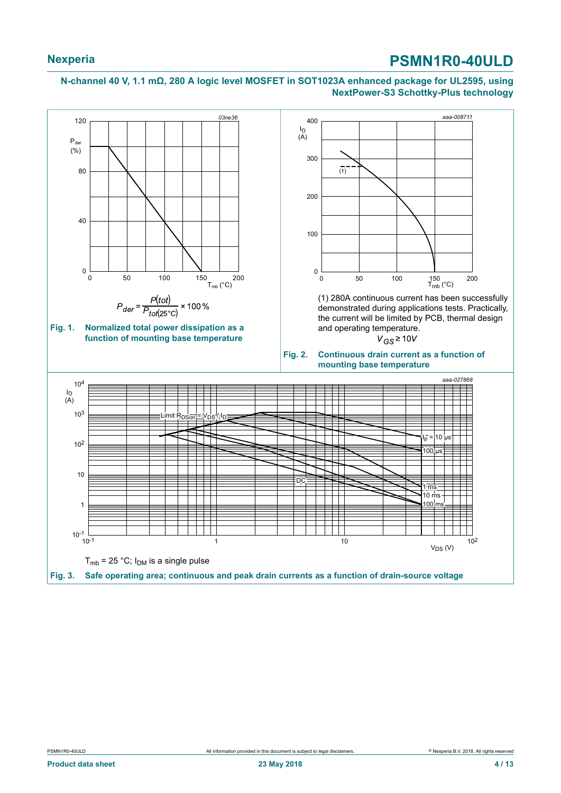### <span id="page-3-0"></span>**N-channel 40 V, 1.1 mΩ, 280 A logic level MOSFET in SOT1023A enhanced package for UL2595, using NextPower-S3 Schottky-Plus technology**

<span id="page-3-2"></span><span id="page-3-1"></span>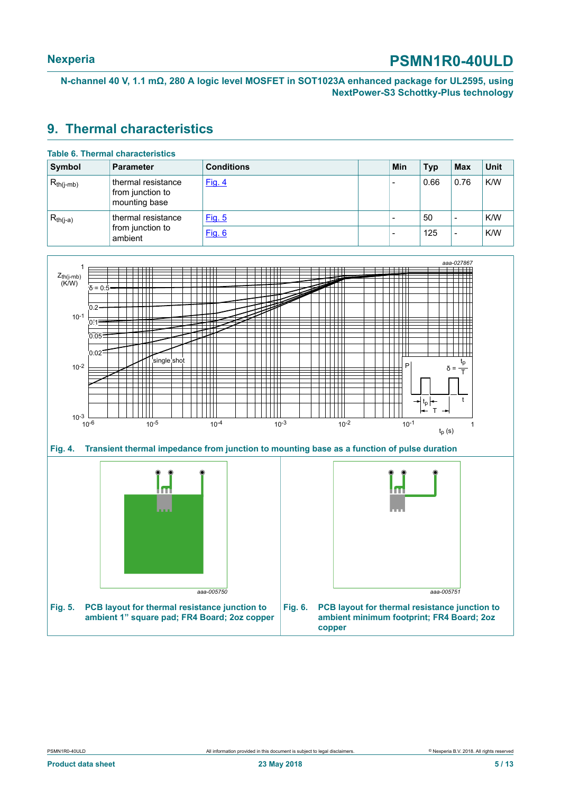## <span id="page-4-3"></span>**9. Thermal characteristics**

| <b>Table 6. Thermal characteristics</b> |  |
|-----------------------------------------|--|
|-----------------------------------------|--|

| <b>Symbol</b>  | <b>Parameter</b>                                        | <b>Conditions</b> | Min                      | <b>Typ</b> | Max                                                  | Unit       |
|----------------|---------------------------------------------------------|-------------------|--------------------------|------------|------------------------------------------------------|------------|
| $R_{th(i-mb)}$ | thermal resistance<br>from junction to<br>mounting base | Fig. 4            | $\overline{\phantom{0}}$ | 0.66       | 0.76                                                 | K/W        |
| $R_{th(j-a)}$  | thermal resistance<br>from junction to<br>ambient       | Fig. 5<br>Fig. 6  | $\overline{\phantom{0}}$ | 50<br>125  | $\overline{\phantom{0}}$<br>$\overline{\phantom{0}}$ | K/W<br>K/W |
|                |                                                         |                   |                          |            |                                                      |            |

<span id="page-4-2"></span><span id="page-4-1"></span><span id="page-4-0"></span>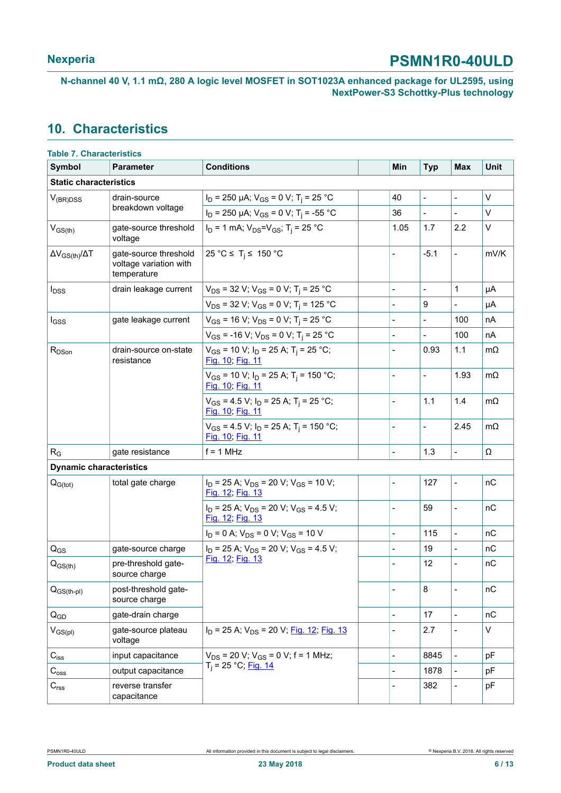# <span id="page-5-0"></span>**10. Characteristics**

| <b>Table 7. Characteristics</b> |                                                                |                                                                                       |                          |                              |                |              |
|---------------------------------|----------------------------------------------------------------|---------------------------------------------------------------------------------------|--------------------------|------------------------------|----------------|--------------|
| <b>Symbol</b>                   | Parameter                                                      | <b>Conditions</b>                                                                     | Min                      | <b>Typ</b>                   | <b>Max</b>     | Unit         |
| <b>Static characteristics</b>   |                                                                |                                                                                       |                          |                              |                |              |
| $V_{(BR)DSS}$                   | drain-source                                                   | $I_D$ = 250 µA; $V_{GS}$ = 0 V; T <sub>i</sub> = 25 °C                                | 40                       | $\overline{a}$               | $\overline{a}$ | $\vee$       |
|                                 | breakdown voltage                                              | $I_D$ = 250 µA; $V_{GS}$ = 0 V; T <sub>i</sub> = -55 °C                               | 36                       | $\overline{a}$               |                | $\vee$       |
| $V_{GS(th)}$                    | gate-source threshold<br>voltage                               | $I_D = 1$ mA; $V_{DS} = V_{GS}$ ; T <sub>i</sub> = 25 °C                              | 1.05                     | 1.7                          | 2.2            | $\vee$       |
| $\Delta V_{GS(th)} / \Delta T$  | gate-source threshold<br>voltage variation with<br>temperature | 25 °C $\leq$ T <sub>i</sub> $\leq$ 150 °C                                             |                          | $-5.1$                       | $\overline{a}$ | mV/K         |
| $I_{DSS}$                       | drain leakage current                                          | $V_{DS}$ = 32 V; V <sub>GS</sub> = 0 V; T <sub>i</sub> = 25 °C                        | $\overline{\phantom{0}}$ |                              | $\mathbf{1}$   | μA           |
|                                 |                                                                | $V_{DS}$ = 32 V; V <sub>GS</sub> = 0 V; T <sub>i</sub> = 125 °C                       |                          | 9                            |                | μA           |
| lgss                            | gate leakage current                                           | $V_{GS}$ = 16 V; $V_{DS}$ = 0 V; T <sub>i</sub> = 25 °C                               | $\overline{\phantom{0}}$ | $\qquad \qquad \blacksquare$ | 100            | nA           |
|                                 |                                                                | $V_{GS}$ = -16 V; $V_{DS}$ = 0 V; T <sub>i</sub> = 25 °C                              |                          |                              | 100            | nA           |
| $R_{DSon}$                      | drain-source on-state<br>resistance                            | $V_{GS}$ = 10 V; $I_D$ = 25 A; T <sub>i</sub> = 25 °C;<br>Fig. 10; Fig. 11            |                          | 0.93                         | 1.1            | $m\Omega$    |
|                                 |                                                                | $V_{GS}$ = 10 V; $I_D$ = 25 A; T <sub>i</sub> = 150 °C;<br>Fig. 10; Fig. 11           | $\overline{\phantom{0}}$ | $\overline{a}$               | 1.93           | $m\Omega$    |
|                                 |                                                                | $V_{GS}$ = 4.5 V; $I_D$ = 25 A; T <sub>i</sub> = 25 °C;<br>Fig. 10; Fig. 11           |                          | 1.1                          | 1.4            | $m\Omega$    |
|                                 |                                                                | $V_{GS}$ = 4.5 V; I <sub>D</sub> = 25 A; T <sub>i</sub> = 150 °C;<br>Fig. 10; Fig. 11 | $\overline{a}$           | $\overline{a}$               | 2.45           | $m\Omega$    |
| $R_G$                           | gate resistance                                                | $f = 1$ MHz                                                                           | $\overline{a}$           | 1.3                          | $\overline{a}$ | Ω            |
| <b>Dynamic characteristics</b>  |                                                                |                                                                                       |                          |                              |                |              |
| $Q_{G(tot)}$                    | total gate charge                                              | $I_D$ = 25 A; $V_{DS}$ = 20 V; $V_{GS}$ = 10 V;<br>Fig. 12; Fig. 13                   | $\overline{\phantom{0}}$ | 127                          | $\blacksquare$ | nC           |
|                                 |                                                                | $I_D$ = 25 A; $V_{DS}$ = 20 V; $V_{GS}$ = 4.5 V;<br>Fig. 12; Fig. 13                  | $\overline{a}$           | 59                           | $\overline{a}$ | nC           |
|                                 |                                                                | $I_D = 0$ A; $V_{DS} = 0$ V; $V_{GS} = 10$ V                                          | $\overline{a}$           | 115                          | $\frac{1}{2}$  | nC           |
| $\mathsf{Q}_{\mathsf{GS}}$      | gate-source charge                                             | $I_D$ = 25 A; $V_{DS}$ = 20 V; $V_{GS}$ = 4.5 V;                                      |                          | 19                           |                | nC           |
| $Q_{GS(th)}$                    | pre-threshold gate-<br>source charge                           | Fig. 12, Fig. 13                                                                      |                          | 12                           | $\overline{a}$ | nC           |
| $Q_{GS(th-pl)}$                 | post-threshold gate-<br>source charge                          |                                                                                       |                          | 8                            |                | nC           |
| $Q_{GD}$                        | gate-drain charge                                              |                                                                                       | $\overline{a}$           | 17                           | $\overline{a}$ | nC           |
| $V_{GS(pl)}$                    | gate-source plateau<br>voltage                                 | $I_D$ = 25 A; $V_{DS}$ = 20 V; Fig. 12; Fig. 13                                       | $\overline{\phantom{0}}$ | 2.7                          | $\blacksquare$ | $\mathsf{V}$ |
| $\mathbf{C}_{\mathsf{iss}}$     | input capacitance                                              | $V_{DS}$ = 20 V; $V_{GS}$ = 0 V; f = 1 MHz;                                           | $\overline{a}$           | 8845                         | $\overline{a}$ | pF           |
| $C_{\rm{oss}}$                  | output capacitance                                             | $T_i = 25 °C;$ Fig. 14                                                                | $\overline{a}$           | 1878                         | $\equiv$       | pF           |
| C <sub>rss</sub>                | reverse transfer<br>capacitance                                |                                                                                       |                          | 382                          |                | pF           |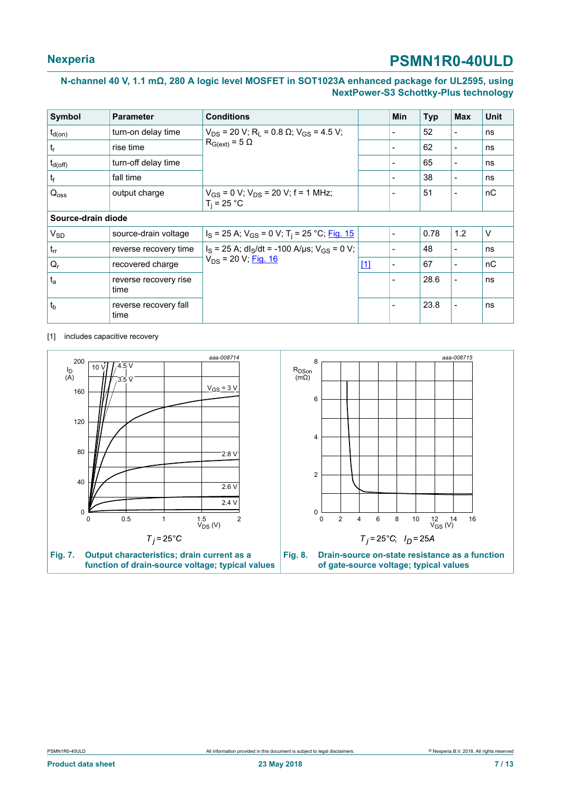### <span id="page-6-0"></span>**N-channel 40 V, 1.1 mΩ, 280 A logic level MOSFET in SOT1023A enhanced package for UL2595, using NextPower-S3 Schottky-Plus technology**

| Symbol              | <b>Parameter</b>              | <b>Conditions</b>                                                         |       | Min                      | <b>Typ</b> | <b>Max</b>               | <b>Unit</b> |
|---------------------|-------------------------------|---------------------------------------------------------------------------|-------|--------------------------|------------|--------------------------|-------------|
| $t_{d(on)}$         | turn-on delay time            | $V_{DS}$ = 20 V; R <sub>1</sub> = 0.8 $\Omega$ ; V <sub>GS</sub> = 4.5 V; |       | -                        | 52         | $\overline{\phantom{a}}$ | ns          |
| $t_{r}$             | rise time                     | $R_{G(ext)} = 5 \Omega$                                                   |       | -                        | 62         | $\overline{\phantom{a}}$ | ns          |
| $t_{d(\text{off})}$ | turn-off delay time           |                                                                           |       |                          | 65         | $\overline{\phantom{a}}$ | ns          |
| $t_f$               | fall time                     |                                                                           |       | ۰                        | 38         | $\overline{\phantom{a}}$ | ns          |
| $Q_{\text{oss}}$    | output charge                 | $V_{GS}$ = 0 V; $V_{DS}$ = 20 V; f = 1 MHz;<br>$T_i = 25 °C$              |       |                          | 51         | $\overline{\phantom{a}}$ | nC          |
| Source-drain diode  |                               |                                                                           |       |                          |            |                          |             |
| $V_{SD}$            | source-drain voltage          | $I_S$ = 25 A; $V_{GS}$ = 0 V; T <sub>i</sub> = 25 °C; Fig. 15             |       | $\overline{\phantom{0}}$ | 0.78       | 1.2                      | $\vee$      |
| $t_{rr}$            | reverse recovery time         | $I_S = 25$ A; dl <sub>S</sub> /dt = -100 A/µs; V <sub>GS</sub> = 0 V;     |       |                          | 48         |                          | ns          |
| $Q_{r}$             | recovered charge              | $V_{DS}$ = 20 V; Fig. 16                                                  | $[1]$ | $\overline{\phantom{0}}$ | 67         | $\overline{\phantom{a}}$ | nC          |
| $t_{a}$             | reverse recovery rise<br>time |                                                                           |       |                          | 28.6       | $\blacksquare$           | ns          |
| $t_{b}$             | reverse recovery fall<br>time |                                                                           |       | ۰                        | 23.8       | $\overline{\phantom{a}}$ | ns          |

[1] includes capacitive recovery

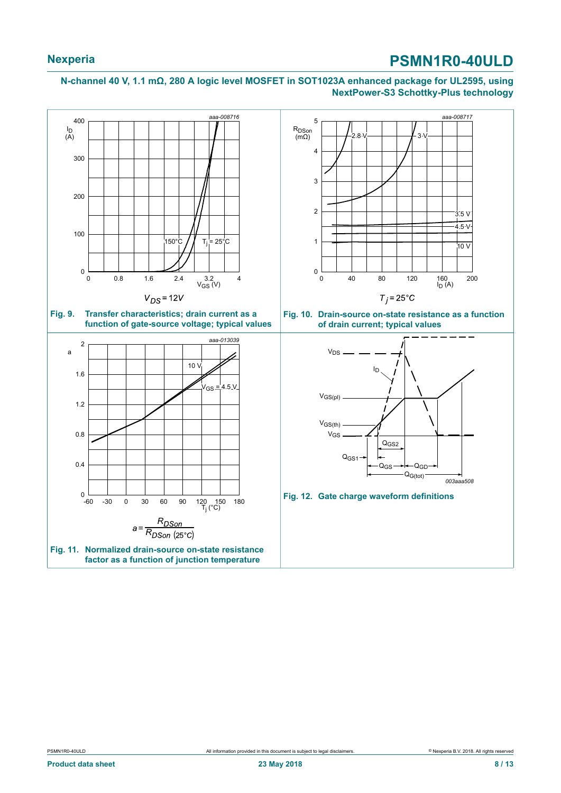### <span id="page-7-0"></span>**N-channel 40 V, 1.1 mΩ, 280 A logic level MOSFET in SOT1023A enhanced package for UL2595, using NextPower-S3 Schottky-Plus technology**

<span id="page-7-2"></span><span id="page-7-1"></span>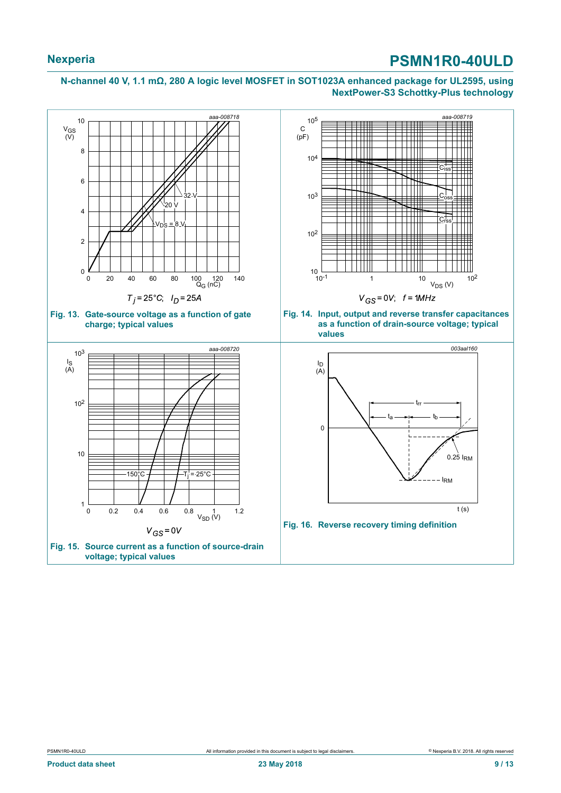### <span id="page-8-3"></span><span id="page-8-1"></span>**N-channel 40 V, 1.1 mΩ, 280 A logic level MOSFET in SOT1023A enhanced package for UL2595, using NextPower-S3 Schottky-Plus technology**

<span id="page-8-2"></span><span id="page-8-0"></span>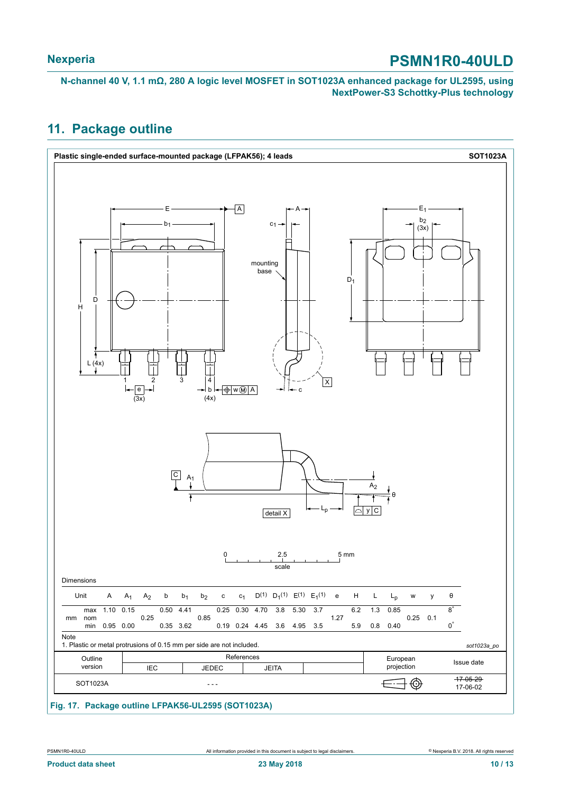# <span id="page-9-0"></span>**11. Package outline**

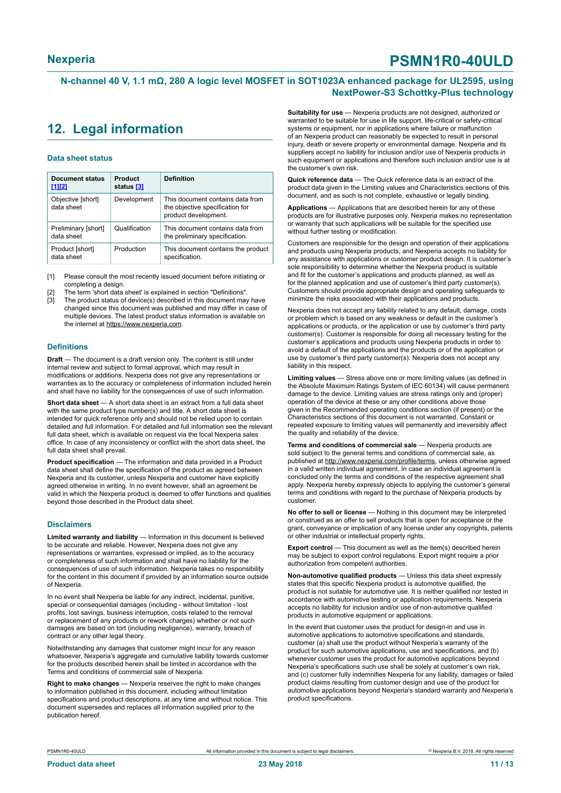#### **N-channel 40 V, 1.1 mΩ, 280 A logic level MOSFET in SOT1023A enhanced package for UL2595, using NextPower-S3 Schottky-Plus technology**

# <span id="page-10-0"></span>**12. Legal information**

#### **Data sheet status**

| Document status<br>11121          | Product<br>status [3] | <b>Definition</b>                                                                           |
|-----------------------------------|-----------------------|---------------------------------------------------------------------------------------------|
| Objective [short]<br>data sheet   | Development           | This document contains data from<br>the objective specification for<br>product development. |
| Preliminary [short]<br>data sheet | Qualification         | This document contains data from<br>the preliminary specification.                          |
| Product [short]<br>data sheet     | Production            | This document contains the product<br>specification.                                        |

[1] Please consult the most recently issued document before initiating or completing a design.

- [2] The term 'short data sheet' is explained in section "Definitions".
- [3] The product status of device(s) described in this document may have changed since this document was published and may differ in case of multiple devices. The latest product status information is available on the internet at [https://www.nexperia.com.](https://www.nexperia.com)

#### **Definitions**

**Draft** — The document is a draft version only. The content is still under internal review and subject to formal approval, which may result in modifications or additions. Nexperia does not give any representations or warranties as to the accuracy or completeness of information included herein and shall have no liability for the consequences of use of such information.

**Short data sheet** — A short data sheet is an extract from a full data sheet with the same product type number(s) and title. A short data sheet is intended for quick reference only and should not be relied upon to contain detailed and full information. For detailed and full information see the relevant full data sheet, which is available on request via the local Nexperia sales office. In case of any inconsistency or conflict with the short data sheet, the full data sheet shall prevail.

**Product specification** — The information and data provided in a Product data sheet shall define the specification of the product as agreed between Nexperia and its customer, unless Nexperia and customer have explicitly agreed otherwise in writing. In no event however, shall an agreement be valid in which the Nexperia product is deemed to offer functions and qualities beyond those described in the Product data sheet.

#### **Disclaimers**

**Limited warranty and liability** — Information in this document is believed to be accurate and reliable. However, Nexperia does not give any representations or warranties, expressed or implied, as to the accuracy or completeness of such information and shall have no liability for the consequences of use of such information. Nexperia takes no responsibility for the content in this document if provided by an information source outside of Nexperia.

In no event shall Nexperia be liable for any indirect, incidental, punitive, special or consequential damages (including - without limitation - lost profits, lost savings, business interruption, costs related to the removal or replacement of any products or rework charges) whether or not such damages are based on tort (including negligence), warranty, breach of contract or any other legal theory.

Notwithstanding any damages that customer might incur for any reason whatsoever. Nexperia's aggregate and cumulative liability towards customer for the products described herein shall be limited in accordance with the Terms and conditions of commercial sale of Nexperia.

**Right to make changes** — Nexperia reserves the right to make changes to information published in this document, including without limitation specifications and product descriptions, at any time and without notice. This document supersedes and replaces all information supplied prior to the publication hereof.

**Suitability for use** — Nexperia products are not designed, authorized or warranted to be suitable for use in life support, life-critical or safety-critical systems or equipment, nor in applications where failure or malfunction of an Nexperia product can reasonably be expected to result in personal injury, death or severe property or environmental damage. Nexperia and its suppliers accept no liability for inclusion and/or use of Nexperia products in such equipment or applications and therefore such inclusion and/or use is at the customer's own risk.

**Quick reference data** — The Quick reference data is an extract of the product data given in the Limiting values and Characteristics sections of this document, and as such is not complete, exhaustive or legally binding.

**Applications** — Applications that are described herein for any of these products are for illustrative purposes only. Nexperia makes no representation or warranty that such applications will be suitable for the specified use without further testing or modification.

Customers are responsible for the design and operation of their applications and products using Nexperia products, and Nexperia accepts no liability for any assistance with applications or customer product design. It is customer's sole responsibility to determine whether the Nexperia product is suitable and fit for the customer's applications and products planned, as well as for the planned application and use of customer's third party customer(s). Customers should provide appropriate design and operating safeguards to minimize the risks associated with their applications and products.

Nexperia does not accept any liability related to any default, damage, costs or problem which is based on any weakness or default in the customer's applications or products, or the application or use by customer's third party customer(s). Customer is responsible for doing all necessary testing for the customer's applications and products using Nexperia products in order to avoid a default of the applications and the products or of the application or use by customer's third party customer(s). Nexperia does not accept any liability in this respect.

**Limiting values** — Stress above one or more limiting values (as defined in the Absolute Maximum Ratings System of IEC 60134) will cause permanent damage to the device. Limiting values are stress ratings only and (proper) operation of the device at these or any other conditions above those given in the Recommended operating conditions section (if present) or the Characteristics sections of this document is not warranted. Constant or repeated exposure to limiting values will permanently and irreversibly affect the quality and reliability of the device.

**Terms and conditions of commercial sale** — Nexperia products are sold subject to the general terms and conditions of commercial sale, as published at [http://www.nexperia.com/profile/terms,](http://www.nexperia.com/profile/terms) unless otherwise agreed in a valid written individual agreement. In case an individual agreement is concluded only the terms and conditions of the respective agreement shall apply. Nexperia hereby expressly objects to applying the customer's general terms and conditions with regard to the purchase of Nexperia products by customer.

**No offer to sell or license** — Nothing in this document may be interpreted or construed as an offer to sell products that is open for acceptance or the grant, conveyance or implication of any license under any copyrights, patents or other industrial or intellectual property rights.

**Export control** — This document as well as the item(s) described herein may be subject to export control regulations. Export might require a prior authorization from competent authorities.

**Non-automotive qualified products** — Unless this data sheet expressly states that this specific Nexperia product is automotive qualified, the product is not suitable for automotive use. It is neither qualified nor tested in accordance with automotive testing or application requirements. Nexperia accepts no liability for inclusion and/or use of non-automotive qualified products in automotive equipment or applications.

In the event that customer uses the product for design-in and use in automotive applications to automotive specifications and standards, customer (a) shall use the product without Nexperia's warranty of the product for such automotive applications, use and specifications, and (b) whenever customer uses the product for automotive applications beyond Nexperia's specifications such use shall be solely at customer's own risk, and (c) customer fully indemnifies Nexperia for any liability, damages or failed product claims resulting from customer design and use of the product for automotive applications beyond Nexperia's standard warranty and Nexperia's product specifications.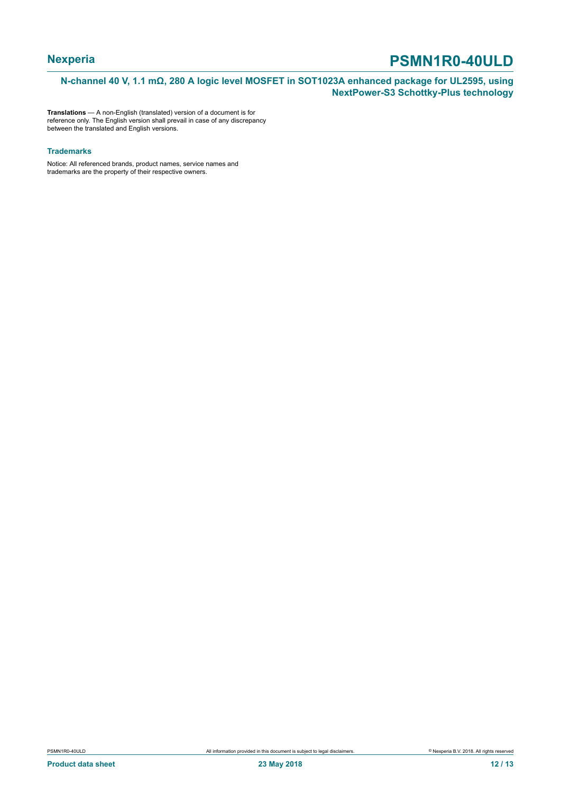#### **N-channel 40 V, 1.1 mΩ, 280 A logic level MOSFET in SOT1023A enhanced package for UL2595, using NextPower-S3 Schottky-Plus technology**

**Translations** — A non-English (translated) version of a document is for reference only. The English version shall prevail in case of any discrepancy between the translated and English versions.

#### **Trademarks**

Notice: All referenced brands, product names, service names and trademarks are the property of their respective owners.